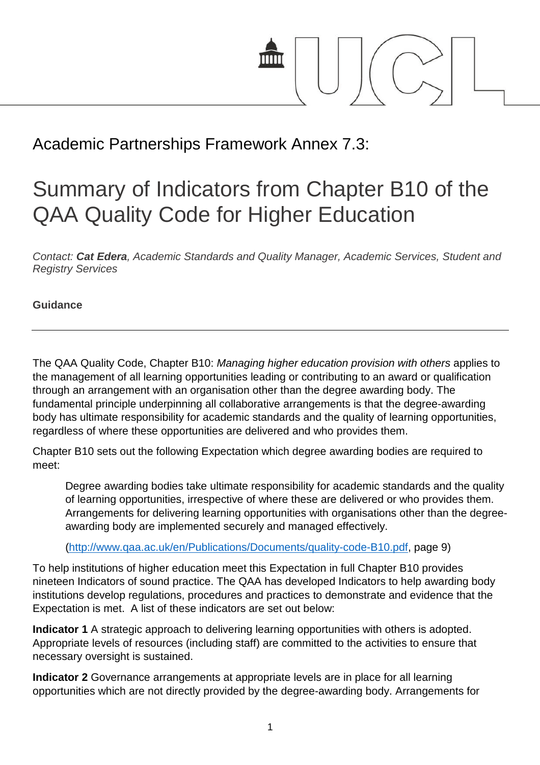

Academic Partnerships Framework Annex 7.3:

## Summary of Indicators from Chapter B10 of the QAA Quality Code for Higher Education

*Contact: Cat Edera, Academic Standards and Quality Manager, Academic Services, Student and Registry Services*

**Guidance**

The QAA Quality Code, Chapter B10: *Managing higher education provision with others* applies to the management of all learning opportunities leading or contributing to an award or qualification through an arrangement with an organisation other than the degree awarding body. The fundamental principle underpinning all collaborative arrangements is that the degree-awarding body has ultimate responsibility for academic standards and the quality of learning opportunities, regardless of where these opportunities are delivered and who provides them.

Chapter B10 sets out the following Expectation which degree awarding bodies are required to meet:

Degree awarding bodies take ultimate responsibility for academic standards and the quality of learning opportunities, irrespective of where these are delivered or who provides them. Arrangements for delivering learning opportunities with organisations other than the degreeawarding body are implemented securely and managed effectively.

(http://www.qaa.ac.uk/en/Publications/Documents/quality-code-B10.pdf, page 9)

To help institutions of higher education meet this Expectation in full Chapter B10 provides nineteen Indicators of sound practice. The QAA has developed Indicators to help awarding body institutions develop regulations, procedures and practices to demonstrate and evidence that the Expectation is met. A list of these indicators are set out below:

**Indicator 1** A strategic approach to delivering learning opportunities with others is adopted. Appropriate levels of resources (including staff) are committed to the activities to ensure that necessary oversight is sustained.

**Indicator 2** Governance arrangements at appropriate levels are in place for all learning opportunities which are not directly provided by the degree-awarding body. Arrangements for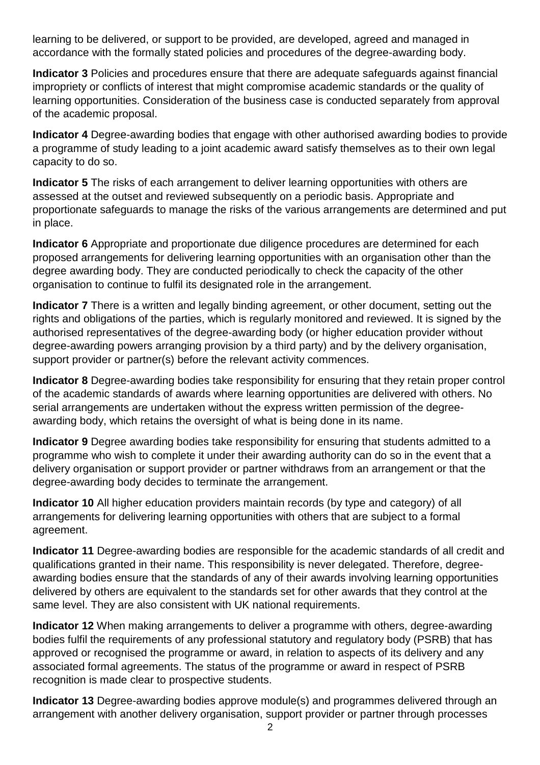learning to be delivered, or support to be provided, are developed, agreed and managed in accordance with the formally stated policies and procedures of the degree-awarding body.

**Indicator 3** Policies and procedures ensure that there are adequate safeguards against financial impropriety or conflicts of interest that might compromise academic standards or the quality of learning opportunities. Consideration of the business case is conducted separately from approval of the academic proposal.

**Indicator 4** Degree-awarding bodies that engage with other authorised awarding bodies to provide a programme of study leading to a joint academic award satisfy themselves as to their own legal capacity to do so.

**Indicator 5** The risks of each arrangement to deliver learning opportunities with others are assessed at the outset and reviewed subsequently on a periodic basis. Appropriate and proportionate safeguards to manage the risks of the various arrangements are determined and put in place.

**Indicator 6** Appropriate and proportionate due diligence procedures are determined for each proposed arrangements for delivering learning opportunities with an organisation other than the degree awarding body. They are conducted periodically to check the capacity of the other organisation to continue to fulfil its designated role in the arrangement.

**Indicator 7** There is a written and legally binding agreement, or other document, setting out the rights and obligations of the parties, which is regularly monitored and reviewed. It is signed by the authorised representatives of the degree-awarding body (or higher education provider without degree-awarding powers arranging provision by a third party) and by the delivery organisation, support provider or partner(s) before the relevant activity commences.

**Indicator 8** Degree-awarding bodies take responsibility for ensuring that they retain proper control of the academic standards of awards where learning opportunities are delivered with others. No serial arrangements are undertaken without the express written permission of the degreeawarding body, which retains the oversight of what is being done in its name.

**Indicator 9** Degree awarding bodies take responsibility for ensuring that students admitted to a programme who wish to complete it under their awarding authority can do so in the event that a delivery organisation or support provider or partner withdraws from an arrangement or that the degree-awarding body decides to terminate the arrangement.

**Indicator 10** All higher education providers maintain records (by type and category) of all arrangements for delivering learning opportunities with others that are subject to a formal agreement.

**Indicator 11** Degree-awarding bodies are responsible for the academic standards of all credit and qualifications granted in their name. This responsibility is never delegated. Therefore, degreeawarding bodies ensure that the standards of any of their awards involving learning opportunities delivered by others are equivalent to the standards set for other awards that they control at the same level. They are also consistent with UK national requirements.

**Indicator 12** When making arrangements to deliver a programme with others, degree-awarding bodies fulfil the requirements of any professional statutory and regulatory body (PSRB) that has approved or recognised the programme or award, in relation to aspects of its delivery and any associated formal agreements. The status of the programme or award in respect of PSRB recognition is made clear to prospective students.

**Indicator 13** Degree-awarding bodies approve module(s) and programmes delivered through an arrangement with another delivery organisation, support provider or partner through processes